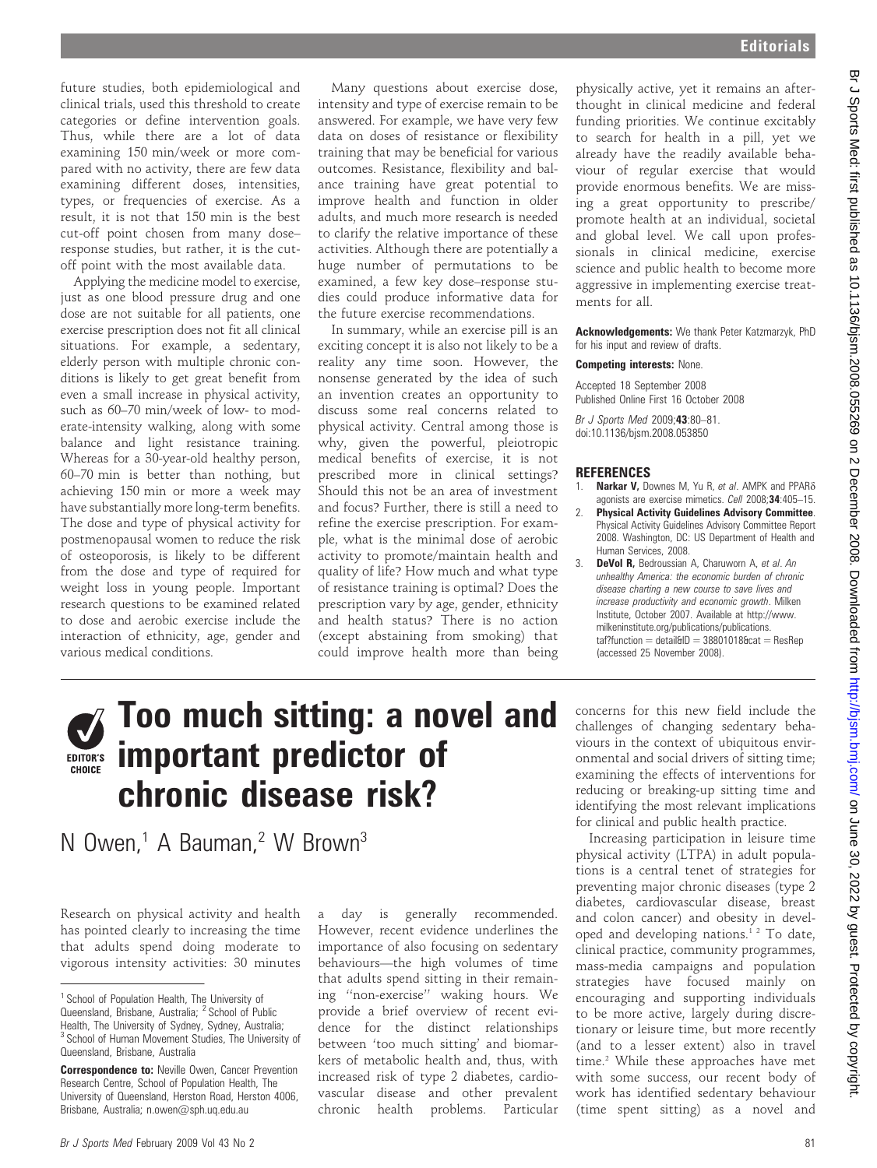future studies, both epidemiological and clinical trials, used this threshold to create categories or define intervention goals. Thus, while there are a lot of data examining 150 min/week or more compared with no activity, there are few data examining different doses, intensities, types, or frequencies of exercise. As a result, it is not that 150 min is the best cut-off point chosen from many dose– response studies, but rather, it is the cutoff point with the most available data.

Applying the medicine model to exercise, just as one blood pressure drug and one dose are not suitable for all patients, one exercise prescription does not fit all clinical situations. For example, a sedentary, elderly person with multiple chronic conditions is likely to get great benefit from even a small increase in physical activity, such as 60–70 min/week of low- to moderate-intensity walking, along with some balance and light resistance training. Whereas for a 30-year-old healthy person, 60–70 min is better than nothing, but achieving 150 min or more a week may have substantially more long-term benefits. The dose and type of physical activity for postmenopausal women to reduce the risk of osteoporosis, is likely to be different from the dose and type of required for weight loss in young people. Important research questions to be examined related to dose and aerobic exercise include the interaction of ethnicity, age, gender and various medical conditions.

Many questions about exercise dose, intensity and type of exercise remain to be answered. For example, we have very few data on doses of resistance or flexibility training that may be beneficial for various outcomes. Resistance, flexibility and balance training have great potential to improve health and function in older adults, and much more research is needed to clarify the relative importance of these activities. Although there are potentially a huge number of permutations to be examined, a few key dose–response studies could produce informative data for the future exercise recommendations.

In summary, while an exercise pill is an exciting concept it is also not likely to be a reality any time soon. However, the nonsense generated by the idea of such an invention creates an opportunity to discuss some real concerns related to physical activity. Central among those is why, given the powerful, pleiotropic medical benefits of exercise, it is not prescribed more in clinical settings? Should this not be an area of investment and focus? Further, there is still a need to refine the exercise prescription. For example, what is the minimal dose of aerobic activity to promote/maintain health and quality of life? How much and what type of resistance training is optimal? Does the prescription vary by age, gender, ethnicity and health status? There is no action (except abstaining from smoking) that could improve health more than being

physically active, yet it remains an afterthought in clinical medicine and federal funding priorities. We continue excitably to search for health in a pill, yet we already have the readily available behaviour of regular exercise that would provide enormous benefits. We are missing a great opportunity to prescribe/ promote health at an individual, societal and global level. We call upon professionals in clinical medicine, exercise science and public health to become more aggressive in implementing exercise treatments for all.

Acknowledgements: We thank Peter Katzmarzyk, PhD for his input and review of drafts.

Competing interests: None.

Accepted 18 September 2008 Published Online First 16 October 2008

Br J Sports Med 2009;43:80–81. doi:10.1136/bjsm.2008.053850

### **REFERENCES**

- 1. **Narkar V,** Downes M, Yu R, et al. AMPK and PPAR8 agonists are exercise mimetics. Cell 2008;34:405–15.
- 2. Physical Activity Guidelines Advisory Committee. Physical Activity Guidelines Advisory Committee Report 2008. Washington, DC: US Department of Health and Human Services, 2008.
- 3. DeVol R, Bedroussian A, Charuworn A, et al. An unhealthy America: the economic burden of chronic disease charting a new course to save lives and increase productivity and economic growth. Milken Institute, October 2007. Available at http://www. milkeninstitute.org/publications/publications.  $taf$ ?function = detail&ID = 38801018&cat = ResRep (accessed 25 November 2008).

# **Too much sitting: a novel and** EDITOR'S important predictor of chronic disease risk?

N Owen,<sup>1</sup> A Bauman,<sup>2</sup> W Brown<sup>3</sup>

Research on physical activity and health has pointed clearly to increasing the time that adults spend doing moderate to vigorous intensity activities: 30 minutes a day is generally recommended. However, recent evidence underlines the importance of also focusing on sedentary behaviours—the high volumes of time that adults spend sitting in their remaining ''non-exercise'' waking hours. We provide a brief overview of recent evidence for the distinct relationships between 'too much sitting' and biomarkers of metabolic health and, thus, with increased risk of type 2 diabetes, cardiovascular disease and other prevalent chronic health problems. Particular

concerns for this new field include the challenges of changing sedentary behaviours in the context of ubiquitous environmental and social drivers of sitting time; examining the effects of interventions for reducing or breaking-up sitting time and identifying the most relevant implications for clinical and public health practice.

Increasing participation in leisure time physical activity (LTPA) in adult populations is a central tenet of strategies for preventing major chronic diseases (type 2 diabetes, cardiovascular disease, breast and colon cancer) and obesity in developed and developing nations.<sup>12</sup> To date, clinical practice, community programmes, mass-media campaigns and population strategies have focused mainly on encouraging and supporting individuals to be more active, largely during discretionary or leisure time, but more recently (and to a lesser extent) also in travel time.<sup>2</sup> While these approaches have met with some success, our recent body of work has identified sedentary behaviour (time spent sitting) as a novel and

<sup>&</sup>lt;sup>1</sup> School of Population Health, The University of Queensland, Brisbane, Australia; <sup>2</sup> School of Public Health, The University of Sydney, Sydney, Australia; <sup>3</sup> School of Human Movement Studies, The University of Queensland, Brisbane, Australia

**Correspondence to: Neville Owen, Cancer Prevention** Research Centre, School of Population Health, The University of Queensland, Herston Road, Herston 4006, Brisbane, Australia; n.owen@sph.uq.edu.au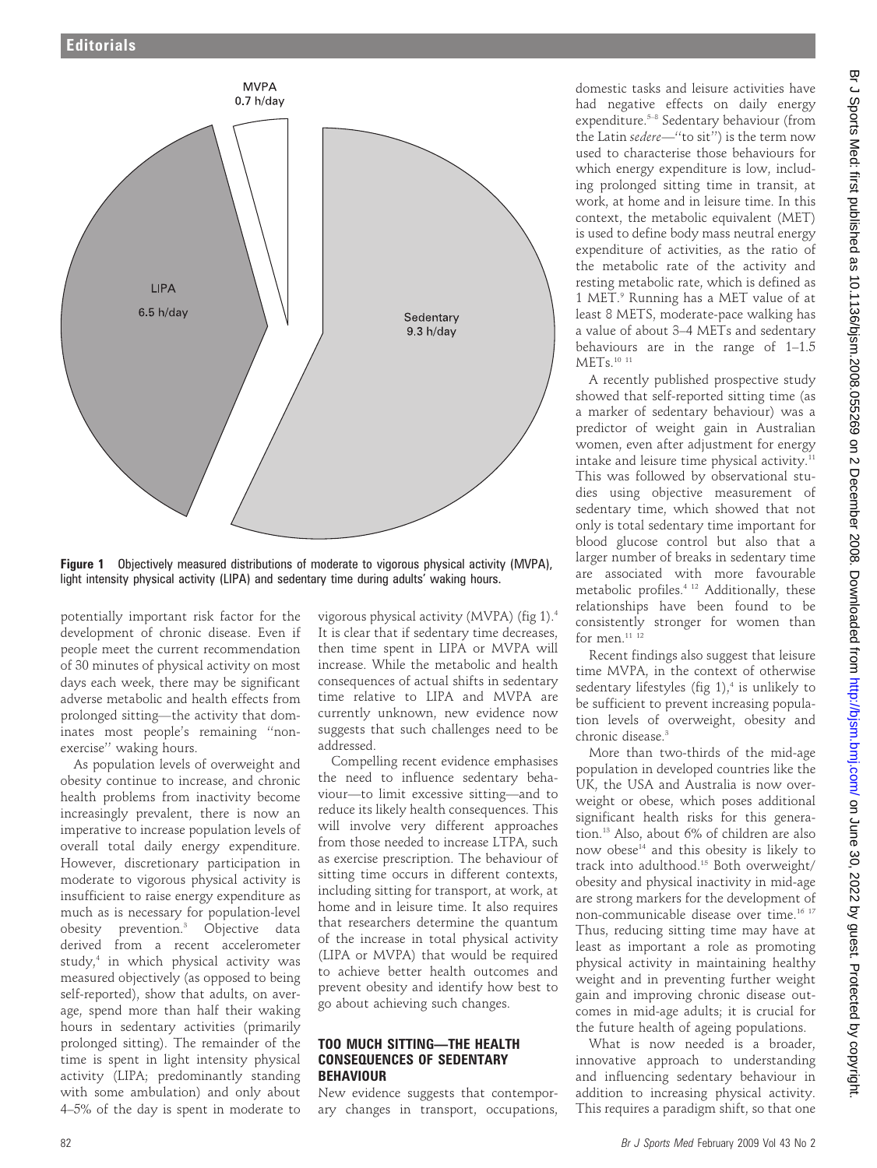

Figure 1 Objectively measured distributions of moderate to vigorous physical activity (MVPA), light intensity physical activity (LIPA) and sedentary time during adults' waking hours.

potentially important risk factor for the development of chronic disease. Even if people meet the current recommendation of 30 minutes of physical activity on most days each week, there may be significant adverse metabolic and health effects from prolonged sitting—the activity that dominates most people's remaining ''nonexercise'' waking hours.

As population levels of overweight and obesity continue to increase, and chronic health problems from inactivity become increasingly prevalent, there is now an imperative to increase population levels of overall total daily energy expenditure. However, discretionary participation in moderate to vigorous physical activity is insufficient to raise energy expenditure as much as is necessary for population-level obesity prevention.3 Objective data derived from a recent accelerometer study,<sup>4</sup> in which physical activity was measured objectively (as opposed to being self-reported), show that adults, on average, spend more than half their waking hours in sedentary activities (primarily prolonged sitting). The remainder of the time is spent in light intensity physical activity (LIPA; predominantly standing with some ambulation) and only about 4–5% of the day is spent in moderate to

vigorous physical activity (MVPA) (fig 1).4 It is clear that if sedentary time decreases, then time spent in LIPA or MVPA will increase. While the metabolic and health consequences of actual shifts in sedentary time relative to LIPA and MVPA are currently unknown, new evidence now suggests that such challenges need to be addressed.

Compelling recent evidence emphasises the need to influence sedentary behaviour—to limit excessive sitting—and to reduce its likely health consequences. This will involve very different approaches from those needed to increase LTPA, such as exercise prescription. The behaviour of sitting time occurs in different contexts, including sitting for transport, at work, at home and in leisure time. It also requires that researchers determine the quantum of the increase in total physical activity (LIPA or MVPA) that would be required to achieve better health outcomes and prevent obesity and identify how best to go about achieving such changes.

#### TOO MUCH SITTING—THE HEALTH CONSEQUENCES OF SEDENTARY **BEHAVIOUR**

New evidence suggests that contemporary changes in transport, occupations, domestic tasks and leisure activities have had negative effects on daily energy expenditure.5–8 Sedentary behaviour (from the Latin sedere—''to sit'') is the term now used to characterise those behaviours for which energy expenditure is low, including prolonged sitting time in transit, at work, at home and in leisure time. In this context, the metabolic equivalent (MET) is used to define body mass neutral energy expenditure of activities, as the ratio of the metabolic rate of the activity and resting metabolic rate, which is defined as 1 MET.9 Running has a MET value of at least 8 METS, moderate-pace walking has a value of about 3–4 METs and sedentary behaviours are in the range of 1–1.5 METs.10 11

A recently published prospective study showed that self-reported sitting time (as a marker of sedentary behaviour) was a predictor of weight gain in Australian women, even after adjustment for energy intake and leisure time physical activity.<sup>11</sup> This was followed by observational studies using objective measurement of sedentary time, which showed that not only is total sedentary time important for blood glucose control but also that a larger number of breaks in sedentary time are associated with more favourable metabolic profiles.4 12 Additionally, these relationships have been found to be consistently stronger for women than for men. $11$   $12$ 

Recent findings also suggest that leisure time MVPA, in the context of otherwise sedentary lifestyles (fig  $1$ ),<sup>4</sup> is unlikely to be sufficient to prevent increasing population levels of overweight, obesity and chronic disease.<sup>3</sup>

More than two-thirds of the mid-age population in developed countries like the UK, the USA and Australia is now overweight or obese, which poses additional significant health risks for this generation.13 Also, about 6% of children are also now obese<sup>14</sup> and this obesity is likely to track into adulthood.15 Both overweight/ obesity and physical inactivity in mid-age are strong markers for the development of non-communicable disease over time.16 17 Thus, reducing sitting time may have at least as important a role as promoting physical activity in maintaining healthy weight and in preventing further weight gain and improving chronic disease outcomes in mid-age adults; it is crucial for the future health of ageing populations.

What is now needed is a broader, innovative approach to understanding and influencing sedentary behaviour in addition to increasing physical activity. This requires a paradigm shift, so that one